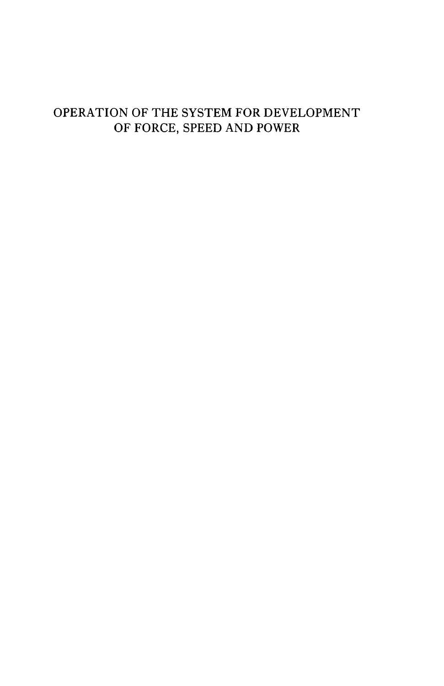# OPERATION OF THE SYSTEM FOR DEVELOPMENT OF FORCE, SPEED AND POWER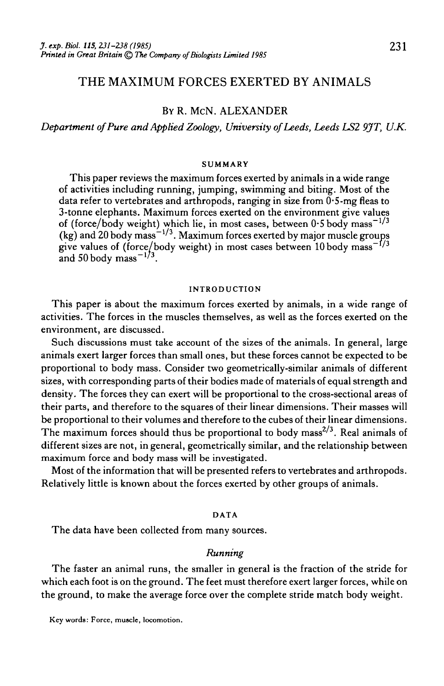# THE MAXIMUM FORCES EXERTED BY ANIMALS

# BY R. MCN. ALEXANDER

*Department of Pure and Applied Zoology, University of Leeds, Leeds LS2 9JT, U.K.*

#### **SUMMARY**

This paper reviews the maximum forces exerted by animals in a wide range of activities including running, jumping, swimming and biting. Most of the data refer to vertebrates and arthropods, ranging in size from  $0.5$ -mg fleas to 3-tonne elephants. Maximum forces exerted on the environment give values of (force/body weight) which lie, in most cases, between  $0.5$  body mass $^{-1/3}$ (kg) and 20 body mass  $^{-1/3}$ . Maximum forces exerted by major muscle groups give values of (force/body weight) in most cases between  $10$  body mass<sup> $-f/3$ </sup> and 50 body mass<sup> $-1/3$ </sup>.

#### INTRODUCTION

This paper is about the maximum forces exerted by animals, in a wide range of activities. The forces in the muscles themselves, as well as the forces exerted on the environment, are discussed.

Such discussions must take account of the sizes of the animals. In general, large animals exert larger forces than small ones, but these forces cannot be expected to be proportional to body mass. Consider two geometrically-similar animals of different sizes, with corresponding parts of their bodies made of materials of equal strength and density. The forces they can exert will be proportional to the cross-sectional areas of their parts, and therefore to the squares of their linear dimensions. Their masses will be proportional to their volumes and therefore to the cubes of their linear dimensions. The maximum forces should thus be proportional to body mass<sup>2/3</sup>. Real animals of different sizes are not, in general, geometrically similar, and the relationship between maximum force and body mass will be investigated.

Most of the information that will be presented refers to vertebrates and arthropods. Relatively little is known about the forces exerted by other groups of animals.

#### DATA

The data have been collected from many sources.

### *Running*

The faster an animal runs, the smaller in general is the fraction of the stride for which each foot is on the ground. The feet must therefore exert larger forces, while on the ground, to make the average force over the complete stride match body weight.

Key words: Force, muscle, locomotion.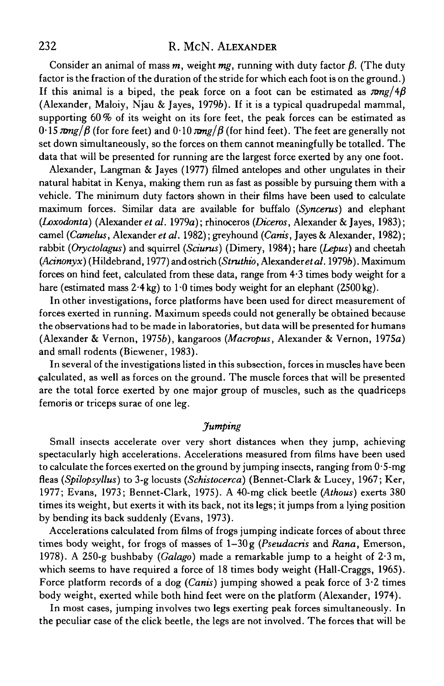# 232 R. McN. ALEXANDER

Consider an animal of mass  $m$ , weight  $mg$ , running with duty factor  $\beta$ . (The duty factor is the fraction of the duration of the stride for which each foot is on the ground.) If this animal is a biped, the peak force on a foot can be estimated as  $\pi mg/4\beta$ (Alexander, Maloiy, Njau & Jayes, 19796). If it is a typical quadrupedal mammal, supporting  $60\%$  of its weight on its fore feet, the peak forces can be estimated as  $0.15 \pi mg/\beta$  (for fore feet) and  $0.10 \pi mg/\beta$  (for hind feet). The feet are generally not set down simultaneously, so the forces on them cannot meaningfully be totalled. The data that will be presented for running are the largest force exerted by any one foot.

Alexander, Langman & Jayes (1977) filmed antelopes and other ungulates in their natural habitat in Kenya, making them run as fast as possible by pursuing them with a vehicle. The minimum duty factors shown in their films have been used to calculate maximum forces. Similar data are available for buffalo *(Syncerus)* and elephant *(Loxodonta)* (Alexander *et al.* 1979a); rhinoceros *{Diceros,* Alexander & Jayes, 1983); camel *(Camelus,* Alexander *et al.* 1982); greyhound *(Canis,* Jayes & Alexander, 1982); rabbit *(Oryctolagus)* and squirrel *(Sciurus)* (Dimery, 1984); hare *(Lepus)* and cheetah *(Acinonyx)* (Hildebrand, 1977) and ostrich *{Struthio,* Alexander *etal.* 19796). Maximum forces on hind feet, calculated from these data, range from 4-3 times body weight for a hare (estimated mass  $2.4 \text{ kg}$ ) to  $1.0$  times body weight for an elephant (2500 kg).

In other investigations, force platforms have been used for direct measurement of forces exerted in running. Maximum speeds could not generally be obtained because the observations had to be made in laboratories, but data will be presented for humans (Alexander & Vernon, 19756), kangaroos *(Macropus,* Alexander & Vernon, 1975a) and small rodents (Biewener, 1983).

In several of the investigations listed in this subsection, forces in muscles have been calculated, as well as forces on the ground. The muscle forces that will be presented are the total force exerted by one major group of muscles, such as the quadriceps femoris or triceps surae of one leg.

## *Jumping*

Small insects accelerate over very short distances when they jump, achieving spectacularly high accelerations. Accelerations measured from films have been used to calculate the forces exerted on the ground by jumping insects, ranging from 0-5-mg fleas *(Spilopsyllus)* to 3-g locusts *(Schistocerca)* (Bennet-Clark & Lucey, 1967; Ker, 1977; Evans, 1973; Bennet-Clark, 1975). A 40-mg click beetle *(Athous)* exerts 380 times its weight, but exerts it with its back, not its legs; it jumps from a lying position by bending its back suddenly (Evans, 1973).

Accelerations calculated from films of frogs jumping indicate forces of about three times body weight, for frogs of masses of 1-30g *{Pseudacris* and *Rana,* Emerson, 1978). A 250-g bushbaby *(Galago)* made a remarkable jump to a height of 2-3 m, which seems to have required a force of 18 times body weight (Hall-Craggs, 1965). Force platform records of a dog *(Canis)* jumping showed a peak force of 3-2 times body weight, exerted while both hind feet were on the platform (Alexander, 1974).

In most cases, jumping involves two legs exerting peak forces simultaneously. In the peculiar case of the click beetle, the legs are not involved. The forces that will be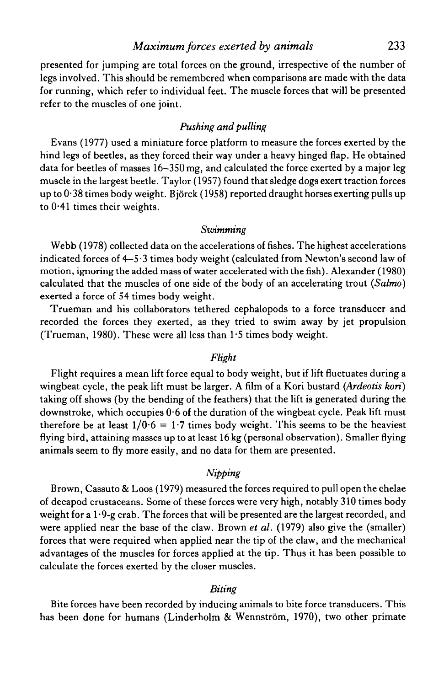## *Maximum forces exerted by animals* 233

presented for jumping are total forces on the ground, irrespective of the number of legs involved. This should be remembered when comparisons are made with the data for running, which refer to individual feet. The muscle forces that will be presented refer to the muscles of one joint.

## *Pushing and pulling*

Evans (1977) used a miniature force platform to measure the forces exerted by the hind legs of beetles, as they forced their way under a heavy hinged flap. He obtained data for beetles of masses 16-350 mg, and calculated the force exerted by a major leg muscle in the largest beetle. Taylor (1957) found that sledge dogs exert traction forces up to  $0.38$  times body weight. Björck (1958) reported draught horses exerting pulls up to  $0.41$  times their weights.

#### *Swimming*

Webb (1978) collected data on the accelerations of fishes. The highest accelerations indicated forces of 4-5-3 times body weight (calculated from Newton's second law of motion, ignoring the added mass of water accelerated with the fish). Alexander (1980) calculated that the muscles of one side of the body of an accelerating trout *(Salmo)* exerted a force of 54 times body weight.

Trueman and his collaborators tethered cephalopods to a force transducer and recorded the forces they exerted, as they tried to swim away by jet propulsion (Trueman, 1980). These were all less than 1-5 times body weight.

### *Flight*

Flight requires a mean lift force equal to body weight, but if lift fluctuates during a wingbeat cycle, the peak lift must be larger. A film of a Kori bustard *(Ardeotis kori)* taking off shows (by the bending of the feathers) that the lift is generated during the downstroke, which occupies  $0.6$  of the duration of the wingbeat cycle. Peak lift must therefore be at least  $1/0.6 = 1.7$  times body weight. This seems to be the heaviest flying bird, attaining masses up to at least 16 kg (personal observation). Smaller flying animals seem to fly more easily, and no data for them are presented.

## *Nipping*

Brown, Cassuto & Loos (1979) measured the forces required to pull open the chelae of decapod crustaceans. Some of these forces were very high, notably 310 times body weight for a  $1.9$ -g crab. The forces that will be presented are the largest recorded, and were applied near the base of the claw. Brown *et al.* (1979) also give the (smaller) forces that were required when applied near the tip of the claw, and the mechanical advantages of the muscles for forces applied at the tip. Thus it has been possible to calculate the forces exerted by the closer muscles.

## *Biting*

Bite forces have been recorded by inducing animals to bite force transducers. This has been done for humans (Linderholm & Wennström, 1970), two other primate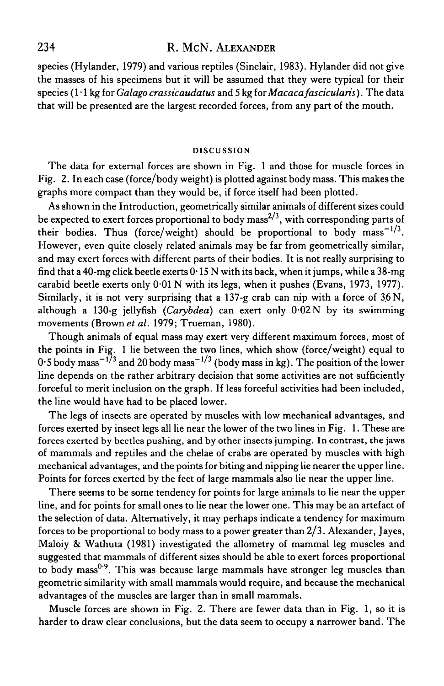# 234 R. McN. ALEXANDER

species (Hylander, 1979) and various reptiles (Sinclair, 1983). Hylander did not give the masses of his specimens but it will be assumed that they were typical for their species (1 • 1 kg for *Galago crassicaudatus* and 5 kg *iorMacacafascicularis).* The data that will be presented are the largest recorded forces, from any part of the mouth.

#### DISCUSSION

The data for external forces are shown in Fig. 1 and those for muscle forces in Fig. 2. In each case (force/body weight) is plotted against body mass. This makes the graphs more compact than they would be, if force itself had been plotted.

As shown in the Introduction, geometrically similar animals of different sizes could be expected to exert forces proportional to body  ${\rm mass}^{2/3},$  with corresponding parts of their bodies. Thus (force/weight) should be proportional to body mass $^{-1/3}.$ However, even quite closely related animals may be far from geometrically similar, and may exert forces with different parts of their bodies. It is not really surprising to find that a 40-mg click beetle exerts  $0.15$  N with its back, when it jumps, while a  $38$ -mg carabid beetle exerts only 0-01 N with its legs, when it pushes (Evans, 1973, 1977). Similarly, it is not very surprising that a  $137-g$  crab can nip with a force of  $36N$ , although a 130-g jellyfish *(Carybdea)* can exert only 0-02 N by its swimming movements (Brown *et al.* 1979; Trueman, 1980).

Though animals of equal mass may exert very different maximum forces, most of the points in Fig. 1 lie between the two lines, which show (force/weight) equal to  $0\cdot$ 5 body mass $^{-1/3}$  and 20 body mass $^{-1/3}$  (body mass in kg). The position of the lower line depends on the rather arbitrary decision that some activities are not sufficiently forceful to merit inclusion on the graph. If less forceful activities had been included, the line would have had to be placed lower.

The legs of insects are operated by muscles with low mechanical advantages, and forces exerted by insect legs all lie near the lower of the two lines in Fig. 1. These are forces exerted by beetles pushing, and by other insects jumping. In contrast, the jaws of mammals and reptiles and the chelae of crabs are operated by muscles with high mechanical advantages, and the points for biting and nipping lie nearer the upper line. Points for forces exerted by the feet of large mammals also lie near the upper line.

There seems to be some tendency for points for large animals to lie near the upper line, and for points for small ones to lie near the lower one. This may be an artefact of the selection of data. Alternatively, it may perhaps indicate a tendency for maximum forces to be proportional to body mass to a power greater than 2/3. Alexander, Jayes, Maloiy & Wathuta (1981) investigated the allometry of mammal leg muscles and suggested that mammals of different sizes should be able to exert forces proportional to body mass<sup> $0.9$ </sup>. This was because large mammals have stronger leg muscles than geometric similarity with small mammals would require, and because the mechanical advantages of the muscles are larger than in small mammals.

Muscle forces are shown in Fig. 2. There are fewer data than in Fig. 1, so it is harder to draw clear conclusions, but the data seem to occupy a narrower band. The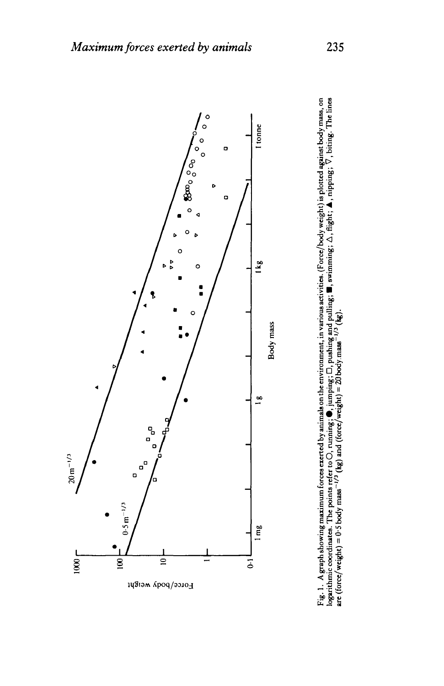

Fig. 1. A graph showing maximum forces exerted by animals on the environment, in various activities. (Force/body weight) is plotted against body mass, on<br>logarithmic coordinates. The points refer to O, running; (,), jumpi **Fig. 1. Agraph showing maximum form exerted by animals on the environment, in various activities. (Force/body weight) is plotted agninst body** mass, **on logarithmic coordinntca. The points refer too, running;** @, **jumping; 0, pushing and pulling; W, awimrning; A, tlqht; A, nipping;** 0, **biting. The linca**   $\alpha$  (force/weight) = 0.5 body  $\text{mass}^{-1/3}$  (kg) and (force/weight) = 20 body.mass<sup>-1/3</sup> (kg).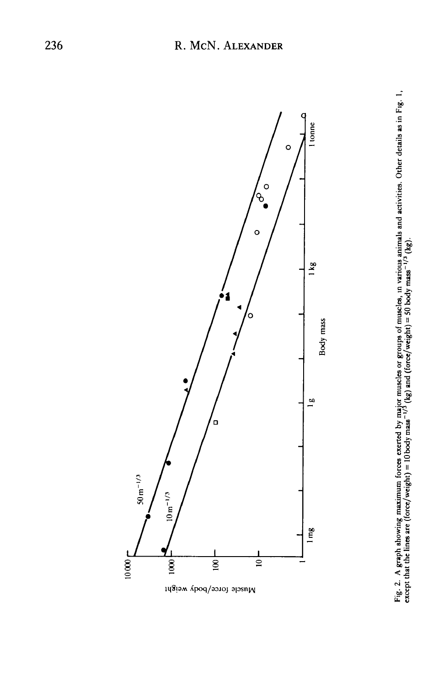

Muscle force/body weight

Fig. 2. A graph showing maximum forces exerted by major muscles or groups of muscles, in various animals and activities. Other details as in Fig. 1, except that the lines are (force/weight) = 10 body mass<sup>-1/3</sup> (kg) leg.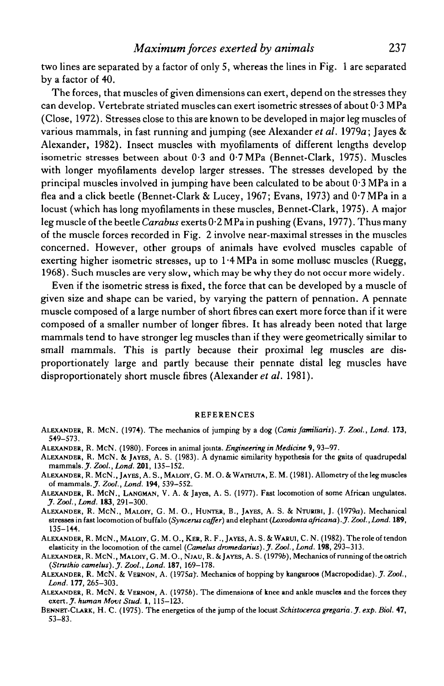two lines are separated by a factor of only 5, whereas the lines in Fig. 1 are separated by a factor of 40.

The forces, that muscles of given dimensions can exert, depend on the stresses they can develop. Vertebrate striated muscles can exert isometric stresses of about 0- 3 MPa (Close, 1972). Stresses close to this are known to be developed in major leg muscles of various mammals, in fast running and jumping (see Alexander *et al.* 1979a; Jayes & Alexander, 1982). Insect muscles with myofilaments of different lengths develop isometric stresses between about 0-3 and 0-7MPa (Bennet-Clark, 1975). Muscles with longer myofilaments develop larger stresses. The stresses developed by the principal muscles involved in jumping have been calculated to be about 0- 3 MPa in a flea and a click beetle (Bennet-Clark & Lucey, 1967; Evans, 1973) and 0-7 MPa in a locust (which has long myofilaments in these muscles, Bennet-Clark, 1975). A major leg muscle of the beetle *Carabus* exerts 0-2 MPa in pushing (Evans, 1977). Thus many of the muscle forces recorded in Fig. 2 involve near-maximal stresses in the muscles concerned. However, other groups of animals have evolved muscles capable of exerting higher isometric stresses, up to 1.4 MPa in some mollusc muscles (Ruegg, 1968). Such muscles are very slow, which may be why they do not occur more widely.

Even if the isometric stress is fixed, the force that can be developed by a muscle of given size and shape can be varied, by varying the pattern of pennation. A pennate muscle composed of a large number of short fibres can exert more force than if it were composed of a smaller number of longer fibres. It has already been noted that large mammals tend to have stronger leg muscles than if they were geometrically similar to small mammals. This is partly because their proximal leg muscles are disproportionately large and partly because their pennate distal leg muscles have disproportionately short muscle fibres (Alexander *et al.* 1981).

#### REFERENCES

- ALEXANDER, R. MCN . (1974). The mechanics of jumping by a dog *(Cams familiaris). J. Zool., Land.* **173,** 549-573.
- ALEXANDER, R. MCN . (1980). Forces in animal joints. *Engineering in Medicine* 9, 93-97.
- ALEXANDER, R. MCN . & JAYES, A. S. (1983). A dynamic similarity hypothesis for the gaits of quadrupedal mammals.J. *Zool,Land.* **201,** 135-152.
- ALEXANDER, R. MCN. , JAYES, A. S., MALOIY, G. M. O. & WATHUTA, E. M. (1981). Allometry of the leg muscles of mammals. *J. Zool, bond.* **194,** 539-552.
- ALEXANDER, R. MCN. , LANOMAN, V. A. & Jayes, A. S. (1977). Fast locomotion of some African ungulates. *J. Zool, Land.* **183,** 291-300.
- ALEXANDER, R. MCN., MALOIY, G. M. O., HUNTER, B., JAYES, A. S. & NTURIBI, J. (1979a). Mechanical stresses in fast locomotion of buffalo *(Syncerus coffer)* and elephant *(Loxodonta africana).J. Zool., Land.* **189,** 135-144.
- ALEXANDER, R. MCN. , MALOIY, G. M. O., KER, R. F., JAYES, A. S. &WARUI, C. N. (1982). The role of tendon elasticity in the locomotion of the camel *(Camelus dromedarius). J. Zool, Land.* **198,** 293-313.
- ALEXANDER, R. MCN., MALOIY, G. M. O., NJAU, R. & JAYES, A. S. (1979b), Mechanics of running of the ostrich *(Struthio camelus). J. Zool, Land.* **187,** 169-178.
- ALEXANDER, R. MCN . & VERNON, A. (1975a*).* Mechanics of hopping by kangaroos (Macropodidae).7- *Zool, Land.* **177,** 265-303.
- ALEXANDER, R. MCN . & VERNON, A. (19756). The dimensions of knee and ankle muscles and the forces they exert. *J. human Movt Stud.* 1, 115-123.
- BENNET-CLARK, H. C. (1975). The energetics of the jump of the locust *Schistocercagregaria. J'. exp. Biol.* 47, 53-83.